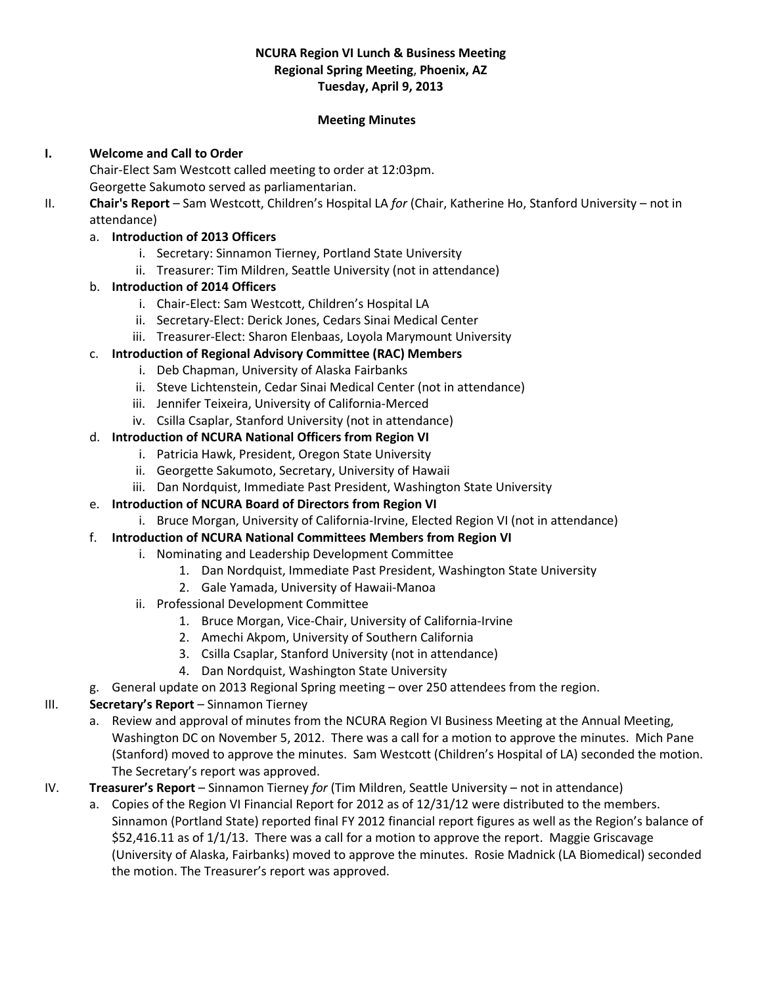#### **NCURA Region VI Lunch & Business Meeting Regional Spring Meeting**, **Phoenix, AZ Tuesday, April 9, 2013**

#### **Meeting Minutes**

#### **I. Welcome and Call to Order**

Chair-Elect Sam Westcott called meeting to order at 12:03pm. Georgette Sakumoto served as parliamentarian.

II. **Chair's Report** – Sam Westcott, Children's Hospital LA *for* (Chair, Katherine Ho, Stanford University – not in attendance)

### a. **Introduction of 2013 Officers**

- i. Secretary: Sinnamon Tierney, Portland State University
- ii. Treasurer: Tim Mildren, Seattle University (not in attendance)

## b. **Introduction of 2014 Officers**

- i. Chair-Elect: Sam Westcott, Children's Hospital LA
- ii. Secretary-Elect: Derick Jones, Cedars Sinai Medical Center
- iii. Treasurer-Elect: Sharon Elenbaas, Loyola Marymount University

## c. **Introduction of Regional Advisory Committee (RAC) Members**

- i. Deb Chapman, University of Alaska Fairbanks
- ii. Steve Lichtenstein, Cedar Sinai Medical Center (not in attendance)
- iii. Jennifer Teixeira, University of California-Merced
- iv. Csilla Csaplar, Stanford University (not in attendance)

## d. **Introduction of NCURA National Officers from Region VI**

- i. Patricia Hawk, President, Oregon State University
- ii. Georgette Sakumoto, Secretary, University of Hawaii
- iii. Dan Nordquist, Immediate Past President, Washington State University

# e. **Introduction of NCURA Board of Directors from Region VI**

- i. Bruce Morgan, University of California-Irvine, Elected Region VI (not in attendance)
- f. **Introduction of NCURA National Committees Members from Region VI**
	- i. Nominating and Leadership Development Committee
		- 1. Dan Nordquist, Immediate Past President, Washington State University
		- 2. Gale Yamada, University of Hawaii-Manoa
		- ii. Professional Development Committee
			- 1. Bruce Morgan, Vice-Chair, University of California-Irvine
			- 2. Amechi Akpom, University of Southern California
			- 3. Csilla Csaplar, Stanford University (not in attendance)
			- 4. Dan Nordquist, Washington State University
- g. General update on 2013 Regional Spring meeting over 250 attendees from the region.

# III. **Secretary's Report** – Sinnamon Tierney

a. Review and approval of minutes from the NCURA Region VI Business Meeting at the Annual Meeting, Washington DC on November 5, 2012. There was a call for a motion to approve the minutes. Mich Pane (Stanford) moved to approve the minutes. Sam Westcott (Children's Hospital of LA) seconded the motion. The Secretary's report was approved.

# IV. **Treasurer's Report** – Sinnamon Tierney *for* (Tim Mildren, Seattle University – not in attendance)

a. Copies of the Region VI Financial Report for 2012 as of 12/31/12 were distributed to the members. Sinnamon (Portland State) reported final FY 2012 financial report figures as well as the Region's balance of \$52,416.11 as of 1/1/13. There was a call for a motion to approve the report. Maggie Griscavage (University of Alaska, Fairbanks) moved to approve the minutes. Rosie Madnick (LA Biomedical) seconded the motion. The Treasurer's report was approved.